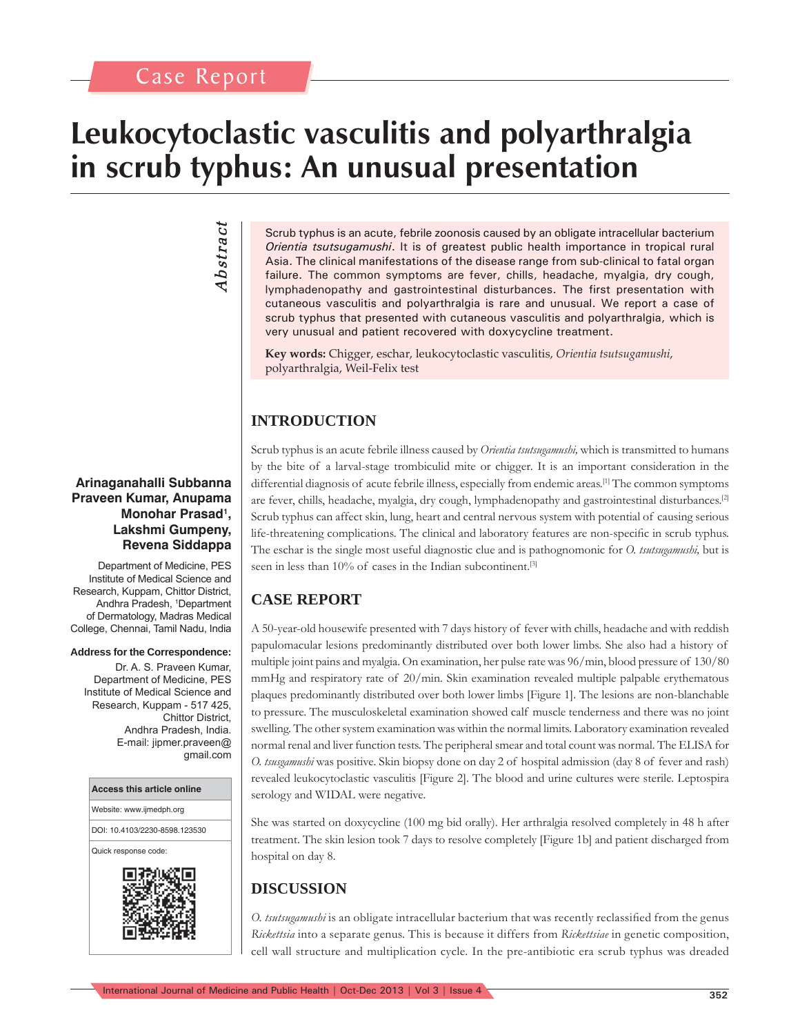# **Leukocytoclastic vasculitis and polyarthralgia in scrub typhus: An unusual presentation**

*Abstract* Abstract

#### **Arinaganahalli Subbanna Praveen Kumar, Anupama**  Monohar Prasad<sup>1</sup>, **Lakshmi Gumpeny, Revena Siddappa**

Department of Medicine, PES Institute of Medical Science and Research, Kuppam, Chittor District, Andhra Pradesh, 1 Department of Dermatology, Madras Medical College, Chennai, Tamil Nadu, India

#### **Address for the Correspondence:**

Dr. A. S. Praveen Kumar, Department of Medicine, PES Institute of Medical Science and Research, Kuppam - 517 425, Chittor District, Andhra Pradesh, India. E-mail: jipmer.praveen@ gmail.com

#### **Access this article online**

Website: www.ijmedph.org

DOI: 10.4103/2230-8598.123530

Quick response code:



Scrub typhus is an acute, febrile zoonosis caused by an obligate intracellular bacterium *Orientia tsutsugamushi*. It is of greatest public health importance in tropical rural Asia. The clinical manifestations of the disease range from sub-clinical to fatal organ failure. The common symptoms are fever, chills, headache, myalgia, dry cough, lymphadenopathy and gastrointestinal disturbances. The first presentation with cutaneous vasculitis and polyarthralgia is rare and unusual. We report a case of scrub typhus that presented with cutaneous vasculitis and polyarthralgia, which is very unusual and patient recovered with doxycycline treatment.

**Key words:** Chigger, eschar, leukocytoclastic vasculitis, *Orientia tsutsugamushi*, polyarthralgia, Weil-Felix test

## **INTRODUCTION**

Scrub typhus is an acute febrile illness caused by *Orientia tsutsugamushi,* which is transmitted to humans by the bite of a larval-stage trombiculid mite or chigger. It is an important consideration in the differential diagnosis of acute febrile illness, especially from endemic areas.<sup>[1]</sup> The common symptoms are fever, chills, headache, myalgia, dry cough, lymphadenopathy and gastrointestinal disturbances.[2] Scrub typhus can affect skin, lung, heart and central nervous system with potential of causing serious life-threatening complications. The clinical and laboratory features are non-specific in scrub typhus. The eschar is the single most useful diagnostic clue and is pathognomonic for *O. tsutsugamushi,* but is seen in less than 10% of cases in the Indian subcontinent.<sup>[3]</sup>

## **CASE REPORT**

A 50-year-old housewife presented with 7 days history of fever with chills, headache and with reddish papulomacular lesions predominantly distributed over both lower limbs. She also had a history of multiple joint pains and myalgia. On examination, her pulse rate was 96/min, blood pressure of 130/80 mmHg and respiratory rate of 20/min. Skin examination revealed multiple palpable erythematous plaques predominantly distributed over both lower limbs [Figure 1]. The lesions are non-blanchable to pressure. The musculoskeletal examination showed calf muscle tenderness and there was no joint swelling. The other system examination was within the normal limits. Laboratory examination revealed normal renal and liver function tests. The peripheral smear and total count was normal. The ELISA for *O. tsusgamushi* was positive. Skin biopsy done on day 2 of hospital admission (day 8 of fever and rash) revealed leukocytoclastic vasculitis [Figure 2]. The blood and urine cultures were sterile. Leptospira serology and WIDAL were negative.

She was started on doxycycline (100 mg bid orally). Her arthralgia resolved completely in 48 h after treatment. The skin lesion took 7 days to resolve completely [Figure 1b] and patient discharged from hospital on day 8.

# **DISCUSSION**

*O. tsutsugamushi* is an obligate intracellular bacterium that was recently reclassified from the genus *Rickettsia* into a separate genus. This is because it differs from *Rickettsiae* in genetic composition, cell wall structure and multiplication cycle. In the pre-antibiotic era scrub typhus was dreaded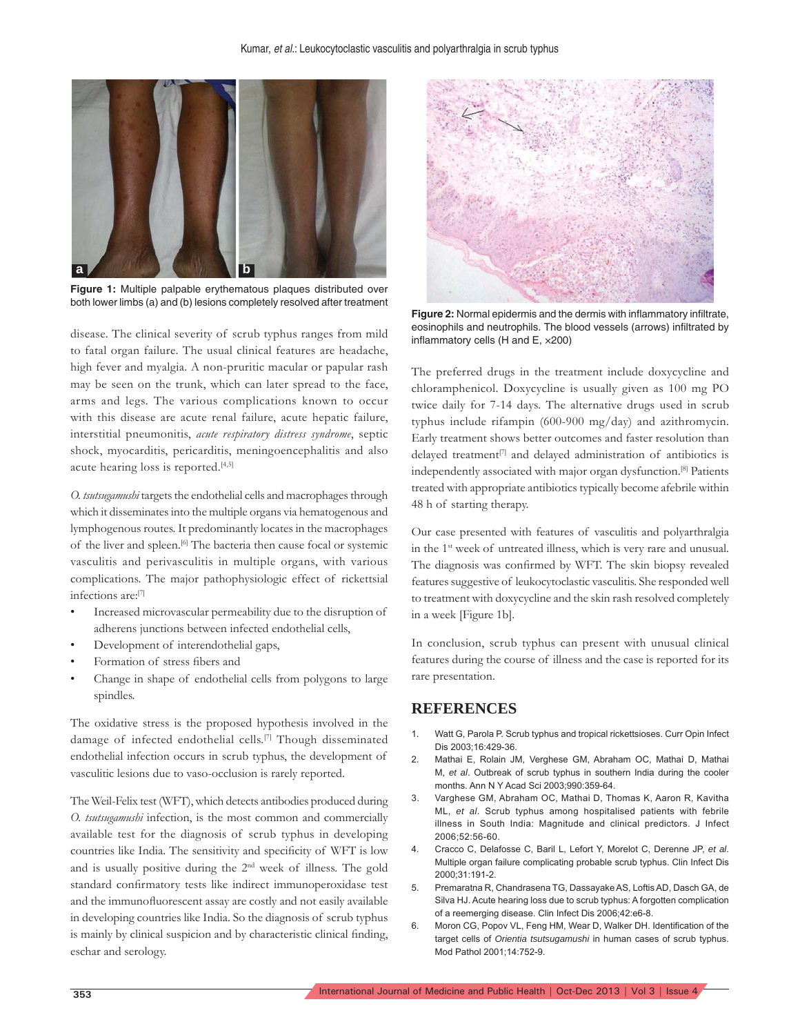

**Figure 1:** Multiple palpable erythematous plaques distributed over both lower limbs (a) and (b) lesions completely resolved after treatment

disease. The clinical severity of scrub typhus ranges from mild to fatal organ failure. The usual clinical features are headache, high fever and myalgia. A non-pruritic macular or papular rash may be seen on the trunk, which can later spread to the face, arms and legs. The various complications known to occur with this disease are acute renal failure, acute hepatic failure, interstitial pneumonitis, *acute respiratory distress syndrome*, septic shock, myocarditis, pericarditis, meningoencephalitis and also acute hearing loss is reported.<sup>[4,5]</sup>

*O. tsutsugamushi* targets the endothelial cells and macrophages through which it disseminates into the multiple organs via hematogenous and lymphogenous routes. It predominantly locates in the macrophages of the liver and spleen.[6] The bacteria then cause focal or systemic vasculitis and perivasculitis in multiple organs, with various complications. The major pathophysiologic effect of rickettsial infections are:[7]

- Increased microvascular permeability due to the disruption of adherens junctions between infected endothelial cells,
- Development of interendothelial gaps,
- Formation of stress fibers and
- Change in shape of endothelial cells from polygons to large spindles.

The oxidative stress is the proposed hypothesis involved in the damage of infected endothelial cells.[7] Though disseminated endothelial infection occurs in scrub typhus, the development of vasculitic lesions due to vaso-occlusion is rarely reported.

The Weil-Felix test (WFT), which detects antibodies produced during *O. tsutsugamushi* infection, is the most common and commercially available test for the diagnosis of scrub typhus in developing countries like India. The sensitivity and specificity of WFT is low and is usually positive during the  $2<sup>nd</sup>$  week of illness. The gold standard confirmatory tests like indirect immunoperoxidase test and the immunofluorescent assay are costly and not easily available in developing countries like India. So the diagnosis of scrub typhus is mainly by clinical suspicion and by characteristic clinical finding, eschar and serology.



**Figure 2:** Normal epidermis and the dermis with inflammatory infiltrate, eosinophils and neutrophils. The blood vessels (arrows) infiltrated by inflammatory cells (H and E,  $\times$ 200)

The preferred drugs in the treatment include doxycycline and chloramphenicol. Doxycycline is usually given as 100 mg PO twice daily for 7-14 days. The alternative drugs used in scrub typhus include rifampin (600-900 mg/day) and azithromycin. Early treatment shows better outcomes and faster resolution than delayed treatment<sup>[7]</sup> and delayed administration of antibiotics is independently associated with major organ dysfunction.[8] Patients treated with appropriate antibiotics typically become afebrile within 48 h of starting therapy.

Our case presented with features of vasculitis and polyarthralgia in the 1<sup>st</sup> week of untreated illness, which is very rare and unusual. The diagnosis was confirmed by WFT. The skin biopsy revealed features suggestive of leukocytoclastic vasculitis. She responded well to treatment with doxycycline and the skin rash resolved completely in a week [Figure 1b].

In conclusion, scrub typhus can present with unusual clinical features during the course of illness and the case is reported for its rare presentation.

### **REFERENCES**

- 1. Watt G, Parola P. Scrub typhus and tropical rickettsioses. Curr Opin Infect Dis 2003;16:429-36.
- 2. Mathai E, Rolain JM, Verghese GM, Abraham OC, Mathai D, Mathai M, *et al*. Outbreak of scrub typhus in southern India during the cooler months. Ann N Y Acad Sci 2003;990:359-64.
- 3. Varghese GM, Abraham OC, Mathai D, Thomas K, Aaron R, Kavitha ML, *et al*. Scrub typhus among hospitalised patients with febrile illness in South India: Magnitude and clinical predictors. J Infect 2006;52:56-60.
- 4. Cracco C, Delafosse C, Baril L, Lefort Y, Morelot C, Derenne JP, *et al*. Multiple organ failure complicating probable scrub typhus. Clin Infect Dis 2000;31:191-2.
- 5. Premaratna R, Chandrasena TG, Dassayake AS, Loftis AD, Dasch GA, de Silva HJ. Acute hearing loss due to scrub typhus: A forgotten complication of a reemerging disease. Clin Infect Dis 2006;42:e6-8.
- 6. Moron CG, Popov VL, Feng HM, Wear D, Walker DH. Identification of the target cells of *Orientia tsutsugamushi* in human cases of scrub typhus. Mod Pathol 2001;14:752-9.